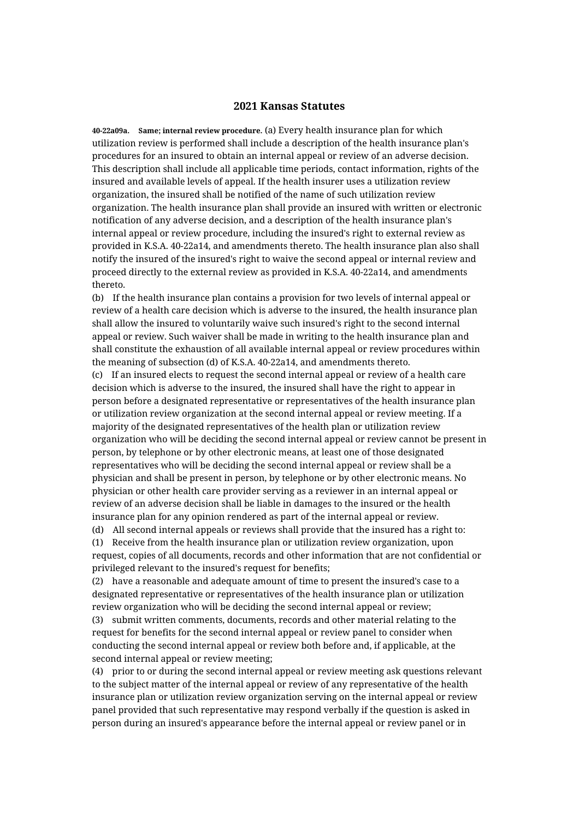## **2021 Kansas Statutes**

**40-22a09a. Same; internal review procedure.** (a) Every health insurance plan for which utilization review is performed shall include a description of the health insurance plan's procedures for an insured to obtain an internal appeal or review of an adverse decision. This description shall include all applicable time periods, contact information, rights of the insured and available levels of appeal. If the health insurer uses a utilization review organization, the insured shall be notified of the name of such utilization review organization. The health insurance plan shall provide an insured with written or electronic notification of any adverse decision, and a description of the health insurance plan's internal appeal or review procedure, including the insured's right to external review as provided in K.S.A. 40-22a14, and amendments thereto. The health insurance plan also shall notify the insured of the insured's right to waive the second appeal or internal review and proceed directly to the external review as provided in K.S.A. 40-22a14, and amendments thereto.

(b) If the health insurance plan contains a provision for two levels of internal appeal or review of a health care decision which is adverse to the insured, the health insurance plan shall allow the insured to voluntarily waive such insured's right to the second internal appeal or review. Such waiver shall be made in writing to the health insurance plan and shall constitute the exhaustion of all available internal appeal or review procedures within the meaning of subsection (d) of K.S.A. 40-22a14, and amendments thereto.

(c) If an insured elects to request the second internal appeal or review of a health care decision which is adverse to the insured, the insured shall have the right to appear in person before a designated representative or representatives of the health insurance plan or utilization review organization at the second internal appeal or review meeting. If a majority of the designated representatives of the health plan or utilization review organization who will be deciding the second internal appeal or review cannot be present in person, by telephone or by other electronic means, at least one of those designated representatives who will be deciding the second internal appeal or review shall be a physician and shall be present in person, by telephone or by other electronic means. No physician or other health care provider serving as a reviewer in an internal appeal or review of an adverse decision shall be liable in damages to the insured or the health insurance plan for any opinion rendered as part of the internal appeal or review.

(d) All second internal appeals or reviews shall provide that the insured has a right to: (1) Receive from the health insurance plan or utilization review organization, upon request, copies of all documents, records and other information that are not confidential or privileged relevant to the insured's request for benefits;

(2) have a reasonable and adequate amount of time to present the insured's case to a designated representative or representatives of the health insurance plan or utilization review organization who will be deciding the second internal appeal or review;

(3) submit written comments, documents, records and other material relating to the request for benefits for the second internal appeal or review panel to consider when conducting the second internal appeal or review both before and, if applicable, at the second internal appeal or review meeting;

(4) prior to or during the second internal appeal or review meeting ask questions relevant to the subject matter of the internal appeal or review of any representative of the health insurance plan or utilization review organization serving on the internal appeal or review panel provided that such representative may respond verbally if the question is asked in person during an insured's appearance before the internal appeal or review panel or in